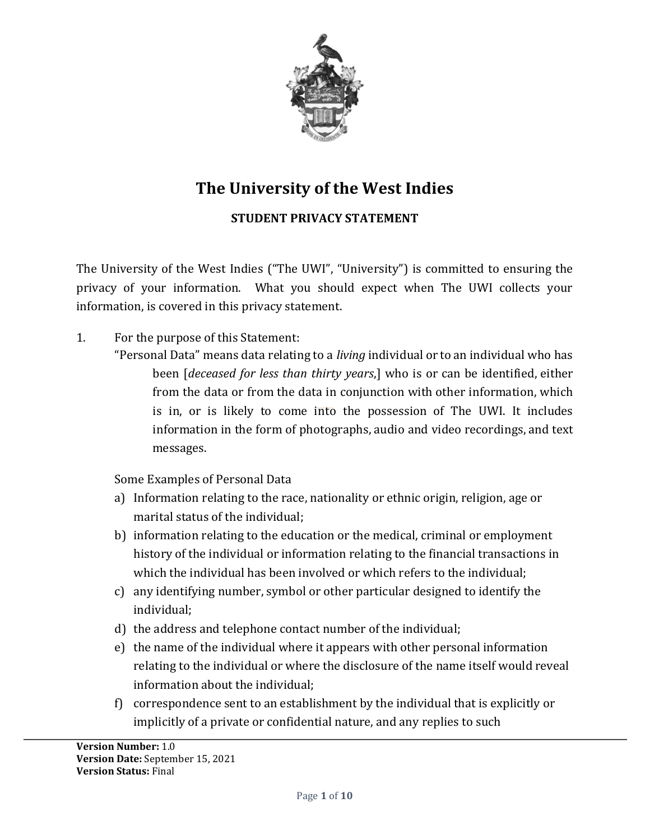

# **The University of the West Indies**

**STUDENT PRIVACY STATEMENT**

The University of the West Indies ("The UWI", "University") is committed to ensuring the privacy of your information. What you should expect when The UWI collects your information, is covered in this privacy statement.

- 1. For the purpose of this Statement:
	- is in, or is likely to come into the possession of The UWI. It includes "Personal Data" means data relating to a *living* individual or to an individual who has been [*deceased for less than thirty years*,] who is or can be identified, either from the data or from the data in conjunction with other information, which information in the form of photographs, audio and video recordings, and text messages.

Some Examples of Personal Data

- a) Information relating to the race, nationality or ethnic origin, religion, age or marital status of the individual;
- b) information relating to the education or the medical, criminal or employment history of the individual or information relating to the financial transactions in which the individual has been involved or which refers to the individual;
- c) any identifying number, symbol or other particular designed to identify the individual;
- d) the address and telephone contact number of the individual;
- e) the name of the individual where it appears with other personal information relating to the individual or where the disclosure of the name itself would reveal information about the individual;
- f) correspondence sent to an establishment by the individual that is explicitly or implicitly of a private or confidential nature, and any replies to such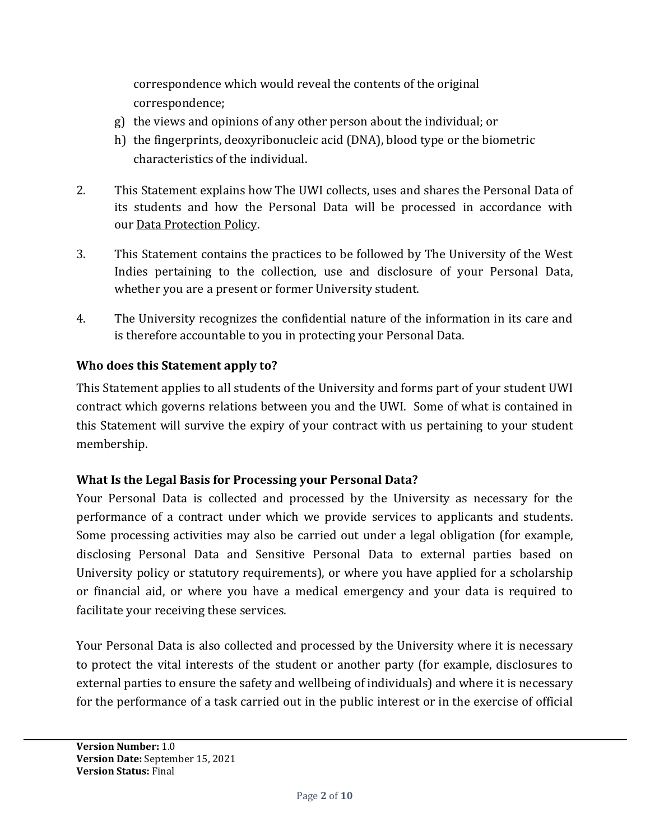correspondence which would reveal the contents of the original correspondence;

- g) the views and opinions of any other person about the individual; or
- h) the fingerprints, deoxyribonucleic acid (DNA), blood type or the biometric characteristics of the individual.
- 2. This Statement explains how The UWI collects, uses and shares the Personal Data of its students and how the Personal Data will be processed in accordance with our [Data Protection Policy.](https://www.qmul.ac.uk/privacy/media/arcs/policyzone/Data-Protection-Policy-v03.0.pdf)
- 3. This Statement contains the practices to be followed by The University of the West Indies pertaining to the collection, use and disclosure of your Personal Data, whether you are a present or former University student.
- 4. The University recognizes the confidential nature of the information in its care and is therefore accountable to you in protecting your Personal Data.

# **Who does this Statement apply to?**

contract which governs relations between you and the UWI. Some of what is contained in This Statement applies to all students of the University and forms part of your student UWI this Statement will survive the expiry of your contract with us pertaining to your student membership.

# **What Is the Legal Basis for Processing your Personal Data?**

Your Personal Data is collected and processed by the University as necessary for the performance of a contract under which we provide services to applicants and students. Some processing activities may also be carried out under a legal obligation (for example, disclosing Personal Data and Sensitive Personal Data to external parties based on University policy or statutory requirements), or where you have applied for a scholarship or financial aid, or where you have a medical emergency and your data is required to facilitate your receiving these services.

Your Personal Data is also collected and processed by the University where it is necessary to protect the vital interests of the student or another party (for example, disclosures to external parties to ensure the safety and wellbeing of individuals) and where it is necessary for the performance of a task carried out in the public interest or in the exercise of official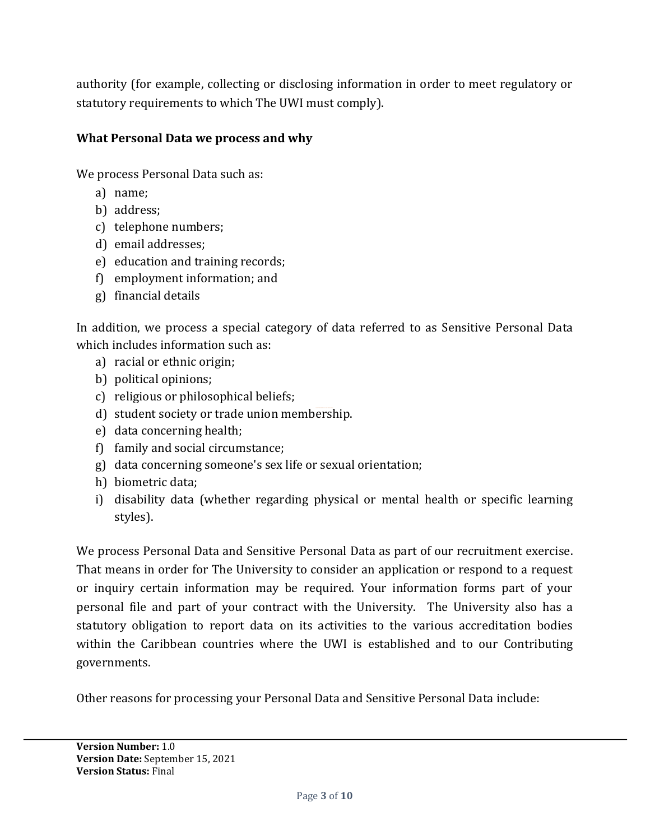authority (for example, collecting or disclosing information in order to meet regulatory or statutory requirements to which The UWI must comply).

## **What Personal Data we process and why**

We process Personal Data such as:

- a) name;
- b) address;
- c) telephone numbers;
- d) email addresses;
- e) education and training records;
- f) employment information; and
- g) financial details

In addition, we process a special category of data referred to as Sensitive Personal Data which includes information such as:

- a) racial or ethnic origin;
- b) political opinions;
- c) religious or philosophical beliefs;
- d) student society or trade union membership.
- e) data concerning health;
- f) family and social circumstance;
- g) data concerning someone's sex life or sexual orientation;
- h) biometric data;
- i) disability data (whether regarding physical or mental health or specific learning styles).

We process Personal Data and Sensitive Personal Data as part of our recruitment exercise. That means in order for The University to consider an application or respond to a request or inquiry certain information may be required. Your information forms part of your personal file and part of your contract with the University. The University also has a statutory obligation to report data on its activities to the various accreditation bodies within the Caribbean countries where the UWI is established and to our Contributing governments.

Other reasons for processing your Personal Data and Sensitive Personal Data include: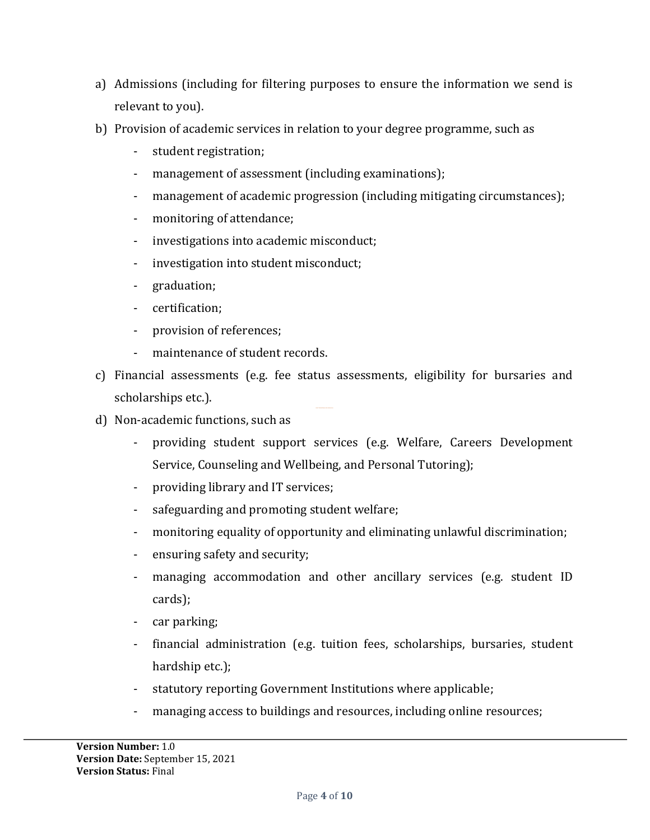- a) Admissions (including for filtering purposes to ensure the information we send is relevant to you).
- b) Provision of academic services in relation to your degree programme, such as
	- student registration;
	- management of assessment (including examinations);
	- management of academic progression (including mitigating circumstances);
	- monitoring of attendance;
	- investigations into academic misconduct;
	- investigation into student misconduct;
	- graduation;
	- certification;
	- provision of references;
	- maintenance of student records.
- c) Financial assessments (e.g. fee status assessments, eligibility for bursaries and scholarships etc.).
- d) Non-academic functions, such as
	- providing student support services (e.g. Welfare, Careers Development Service, Counseling and Wellbeing, and Personal Tutoring);
	- providing library and IT services;
	- safeguarding and promoting student welfare;
	- monitoring equality of opportunity and eliminating unlawful discrimination;
	- ensuring safety and security;
	- managing accommodation and other ancillary services (e.g. student ID cards);
	- car parking;
	- financial administration (e.g. tuition fees, scholarships, bursaries, student hardship etc.);
	- statutory reporting Government Institutions where applicable;
	- managing access to buildings and resources, including online resources;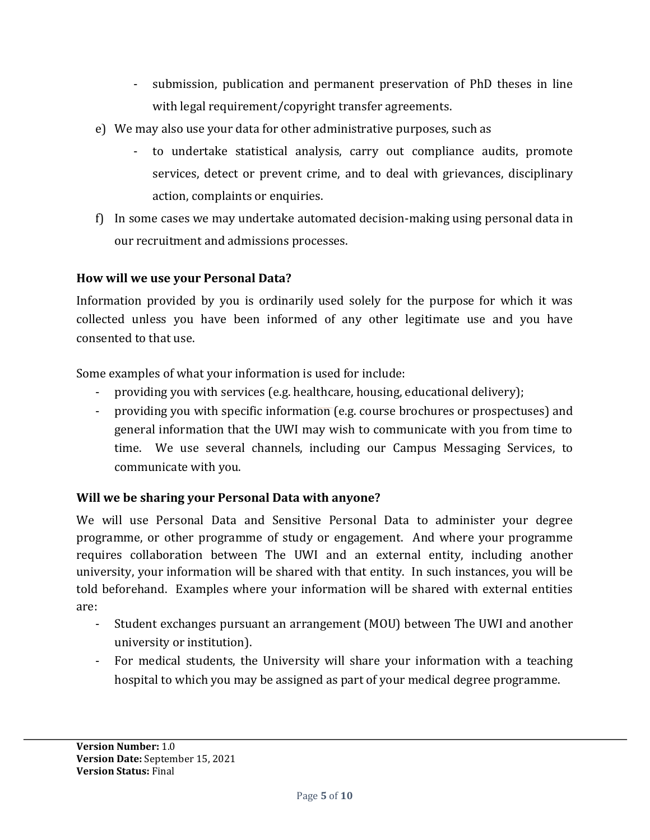- submission, publication and permanent preservation of PhD theses in line with legal requirement/copyright transfer agreements.
- e) We may also use your data for other administrative purposes, such as
	- to undertake statistical analysis, carry out compliance audits, promote services, detect or prevent crime, and to deal with grievances, disciplinary action, complaints or enquiries.
- f) In some cases we may undertake automated decision-making using personal data in our recruitment and admissions processes.

# **How will we use your Personal Data?**

Information provided by you is ordinarily used solely for the purpose for which it was collected unless you have been informed of any other legitimate use and you have consented to that use.

Some examples of what your information is used for include:

- providing you with services (e.g. healthcare, housing, educational delivery);
- providing you with specific information (e.g. course brochures or prospectuses) and general information that the UWI may wish to communicate with you from time to time. We use several channels, including our Campus Messaging Services, to communicate with you.

# **Will we be sharing your Personal Data with anyone?**

We will use Personal Data and Sensitive Personal Data to administer your degree programme, or other programme of study or engagement. And where your programme requires collaboration between The UWI and an external entity, including another university, your information will be shared with that entity. In such instances, you will be told beforehand. Examples where your information will be shared with external entities are:

- Student exchanges pursuant an arrangement (MOU) between The UWI and another university or institution).
- For medical students, the University will share your information with a teaching hospital to which you may be assigned as part of your medical degree programme.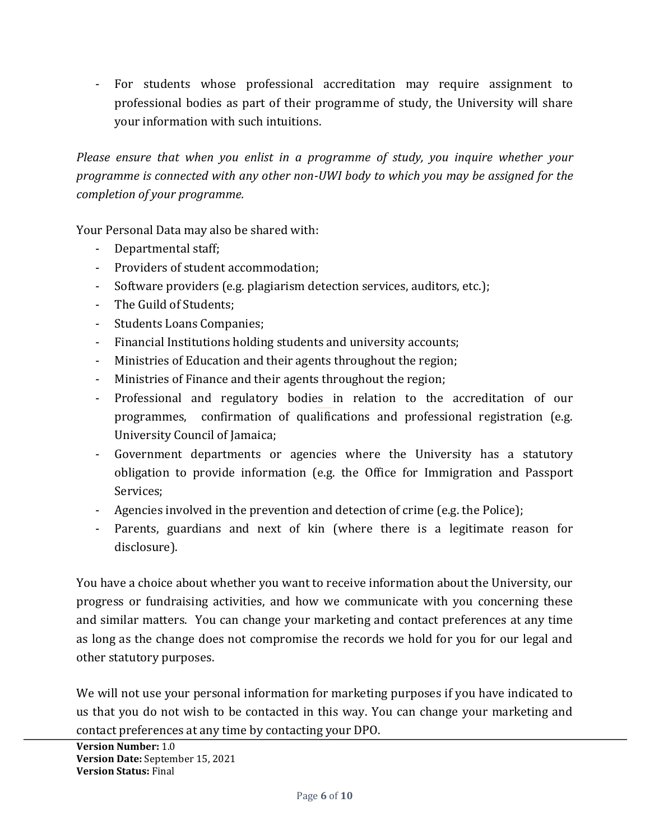- For students whose professional accreditation may require assignment to professional bodies as part of their programme of study, the University will share your information with such intuitions.

*Please ensure that when you enlist in a programme of study, you inquire whether your programme is connected with any other non-UWI body to which you may be assigned for the completion of your programme.*

Your Personal Data may also be shared with:

- Departmental staff;
- Providers of student accommodation;
- Software providers (e.g. plagiarism detection services, auditors, etc.);
- The Guild of Students;
- Students Loans Companies;
- Financial Institutions holding students and university accounts;
- Ministries of Education and their agents throughout the region;
- Ministries of Finance and their agents throughout the region;
- Professional and regulatory bodies in relation to the accreditation of our programmes, confirmation of qualifications and professional registration (e.g. University Council of Jamaica;
- Government departments or agencies where the University has a statutory obligation to provide information (e.g. the Office for Immigration and Passport Services;
- Agencies involved in the prevention and detection of crime (e.g. the Police);
- Parents, guardians and next of kin (where there is a legitimate reason for disclosure).

You have a choice about whether you want to receive information about the University, our progress or fundraising activities, and how we communicate with you concerning these and similar matters. You can change your marketing and contact preferences at any time as long as the change does not compromise the records we hold for you for our legal and other statutory purposes.

We will not use your personal information for marketing purposes if you have indicated to us that you do not wish to be contacted in this way. You can change your marketing and contact preferences at any time by contacting your DPO.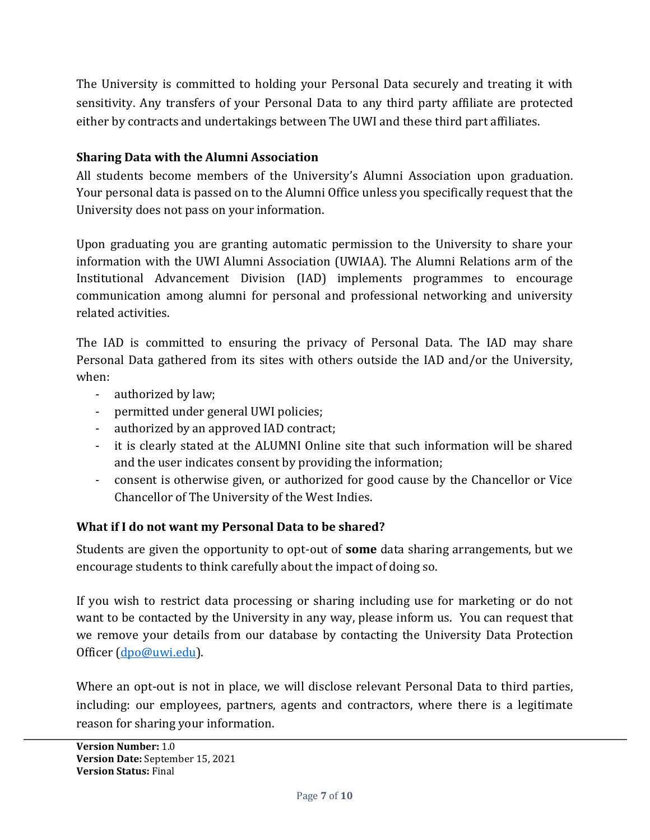The University is committed to holding your Personal Data securely and treating it with sensitivity. Any transfers of your Personal Data to any third party affiliate are protected either by contracts and undertakings between The UWI and these third part affiliates.

## **Sharing Data with the Alumni Association**

All students become members of the University's Alumni Association upon graduation. Your personal data is passed on to the Alumni Office unless you specifically request that the University does not pass on your information.

Upon graduating you are granting automatic permission to the University to share your information with the UWI Alumni Association (UWIAA). The Alumni Relations arm of the Institutional Advancement Division (IAD) implements programmes to encourage communication among alumni for personal and professional networking and university related activities.

The IAD is committed to ensuring the privacy of Personal Data. The IAD may share Personal Data gathered from its sites with others outside the IAD and/or the University, when:

- authorized by law;
- permitted under general UWI policies;
- authorized by an approved IAD contract;
- it is clearly stated at the ALUMNI Online site that such information will be shared and the user indicates consent by providing the information;
- consent is otherwise given, or authorized for good cause by the Chancellor or Vice Chancellor of The University of the West Indies.

#### **What if I do not want my Personal Data to be shared?**

Students are given the opportunity to opt-out of **some** data sharing arrangements, but we encourage students to think carefully about the impact of doing so.

If you wish to restrict data processing or sharing including use for marketing or do not want to be contacted by the University in any way, please inform us. You can request that we remove your details from our database by contacting the University Data Protection Officer [\(dpo@uwi.edu\)](mailto:dpo@uwi.edu).

Where an opt-out is not in place, we will disclose relevant Personal Data to third parties, including: our employees, partners, agents and contractors, where there is a legitimate reason for sharing your information.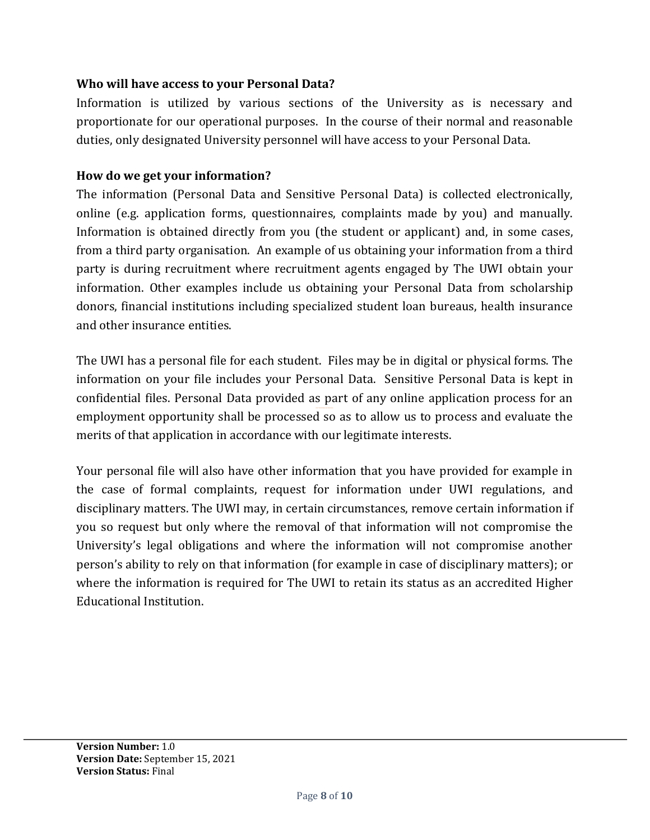#### **Who will have access to your Personal Data?**

Information is utilized by various sections of the University as is necessary and proportionate for our operational purposes. In the course of their normal and reasonable duties, only designated University personnel will have access to your Personal Data.

#### **How do we get your information?**

The information (Personal Data and Sensitive Personal Data) is collected electronically, online (e.g. application forms, questionnaires, complaints made by you) and manually. Information is obtained directly from you (the student or applicant) and, in some cases, from a third party organisation. An example of us obtaining your information from a third party is during recruitment where recruitment agents engaged by The UWI obtain your information. Other examples include us obtaining your Personal Data from scholarship donors, financial institutions including specialized student loan bureaus, health insurance and other insurance entities.

The UWI has a personal file for each student. Files may be in digital or physical forms. The information on your file includes your Personal Data. Sensitive Personal Data is kept in confidential files. Personal Data provided as part of any online application process for an employment opportunity shall be processed so as to allow us to process and evaluate the merits of that application in accordance with our legitimate interests.

Your personal file will also have other information that you have provided for example in the case of formal complaints, request for information under UWI regulations, and disciplinary matters. The UWI may, in certain circumstances, remove certain information if you so request but only where the removal of that information will not compromise the University's legal obligations and where the information will not compromise another person's ability to rely on that information (for example in case of disciplinary matters); or where the information is required for The UWI to retain its status as an accredited Higher Educational Institution.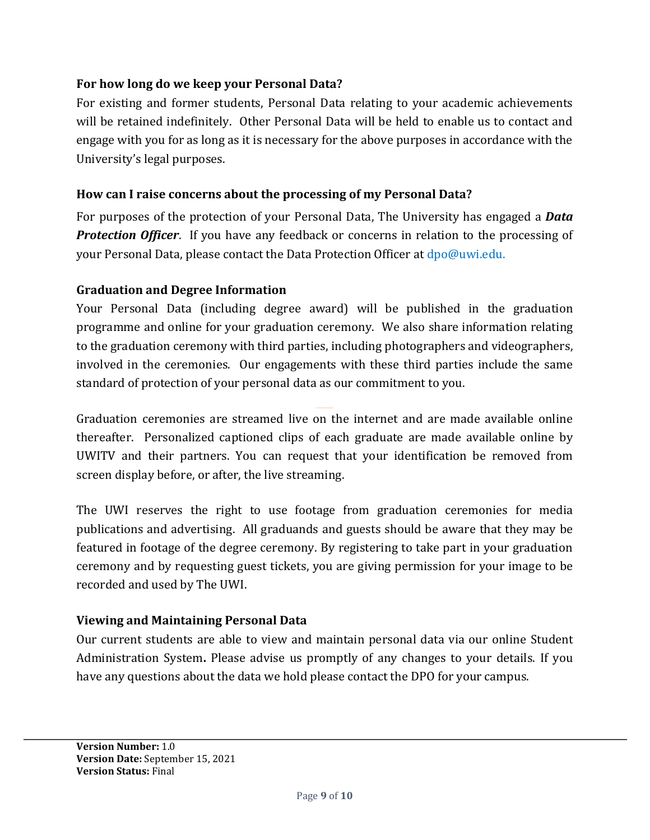#### **For how long do we keep your Personal Data?**

For existing and former students, Personal Data relating to your academic achievements will be retained indefinitely. Other Personal Data will be held to enable us to contact and engage with you for as long as it is necessary for the above purposes in accordance with the University's legal purposes.

#### **How can I raise concerns about the processing of my Personal Data?**

For purposes of the protection of your Personal Data, The University has engaged a *Data*  **Protection Officer.** If you have any feedback or concerns in relation to the processing of your Personal Data, please contact the Data Protection Officer at dpo@uwi.edu.

#### **Graduation and Degree Information**

Your Personal Data (including degree award) will be published in the graduation programme and online for your graduation ceremony. We also share information relating to the graduation ceremony with third parties, including photographers and videographers, involved in the ceremonies. Our engagements with these third parties include the same standard of protection of your personal data as our commitment to you.

Graduation ceremonies are streamed live on the internet and are made available online thereafter. Personalized captioned clips of each graduate are made available online by UWITV and their partners. You can request that your identification be removed from screen display before, or after, the live streaming.

The UWI reserves the right to use footage from graduation ceremonies for media publications and advertising. All graduands and guests should be aware that they may be featured in footage of the degree ceremony. By registering to take part in your graduation ceremony and by requesting guest tickets, you are giving permission for your image to be recorded and used by The UWI.

#### **Viewing and Maintaining Personal Data**

Our current students are able to view and maintain personal data via our online Student Administration System**.** Please advise us promptly of any changes to your details. If you have any questions about the data we hold please contact the DPO for your campus.